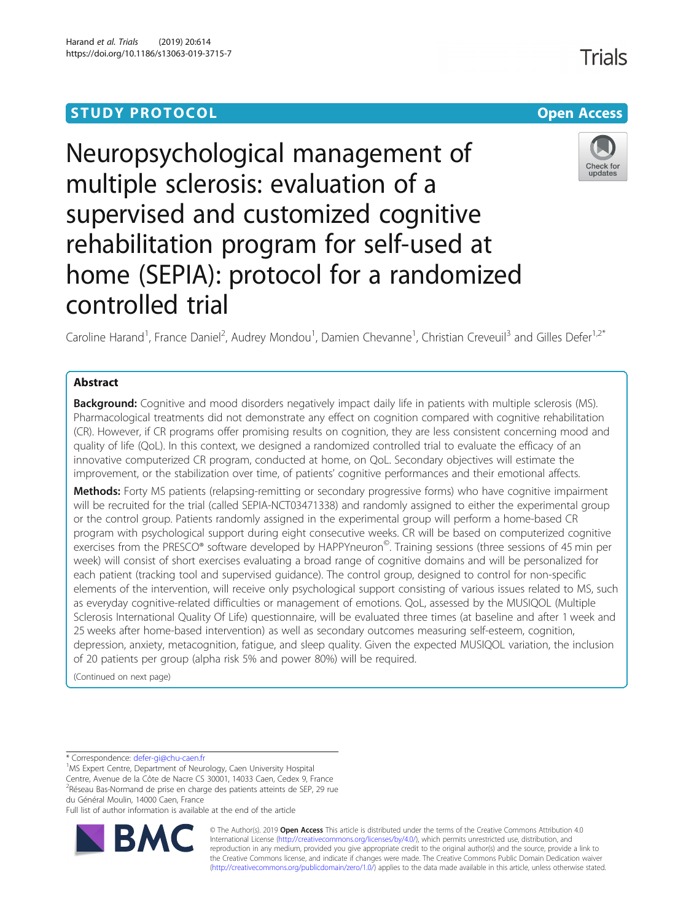# **STUDY PROTOCOL CONSUMING THE RESERVE ACCESS**

# Neuropsychological management of multiple sclerosis: evaluation of a supervised and customized cognitive rehabilitation program for self-used at home (SEPIA): protocol for a randomized controlled trial

Caroline Harand<sup>1</sup>, France Daniel<sup>2</sup>, Audrey Mondou<sup>1</sup>, Damien Chevanne<sup>1</sup>, Christian Creveuil<sup>3</sup> and Gilles Defer<sup>1,2\*</sup>

# Abstract

Background: Cognitive and mood disorders negatively impact daily life in patients with multiple sclerosis (MS). Pharmacological treatments did not demonstrate any effect on cognition compared with cognitive rehabilitation (CR). However, if CR programs offer promising results on cognition, they are less consistent concerning mood and quality of life (QoL). In this context, we designed a randomized controlled trial to evaluate the efficacy of an innovative computerized CR program, conducted at home, on QoL. Secondary objectives will estimate the improvement, or the stabilization over time, of patients' cognitive performances and their emotional affects.

Methods: Forty MS patients (relapsing-remitting or secondary progressive forms) who have cognitive impairment will be recruited for the trial (called SEPIA-NCT03471338) and randomly assigned to either the experimental group or the control group. Patients randomly assigned in the experimental group will perform a home-based CR program with psychological support during eight consecutive weeks. CR will be based on computerized cognitive exercises from the PRESCO® software developed by HAPPYneuron<sup>©</sup>. Training sessions (three sessions of 45 min per week) will consist of short exercises evaluating a broad range of cognitive domains and will be personalized for each patient (tracking tool and supervised guidance). The control group, designed to control for non-specific elements of the intervention, will receive only psychological support consisting of various issues related to MS, such as everyday cognitive-related difficulties or management of emotions. QoL, assessed by the MUSIQOL (Multiple Sclerosis International Quality Of Life) questionnaire, will be evaluated three times (at baseline and after 1 week and 25 weeks after home-based intervention) as well as secondary outcomes measuring self-esteem, cognition, depression, anxiety, metacognition, fatigue, and sleep quality. Given the expected MUSIQOL variation, the inclusion of 20 patients per group (alpha risk 5% and power 80%) will be required.

(Continued on next page)

\* Correspondence: [defer-gi@chu-caen.fr](mailto:defer-gi@chu-caen.fr) <sup>1</sup>

<sup>1</sup>MS Expert Centre, Department of Neurology, Caen University Hospital Centre, Avenue de la Côte de Nacre CS 30001, 14033 Caen, Cedex 9, France <sup>2</sup>Réseau Bas-Normand de prise en charge des patients atteints de SEP, 29 rue du Général Moulin, 14000 Caen, France

Full list of author information is available at the end of the article



© The Author(s). 2019 **Open Access** This article is distributed under the terms of the Creative Commons Attribution 4.0 International License [\(http://creativecommons.org/licenses/by/4.0/](http://creativecommons.org/licenses/by/4.0/)), which permits unrestricted use, distribution, and reproduction in any medium, provided you give appropriate credit to the original author(s) and the source, provide a link to the Creative Commons license, and indicate if changes were made. The Creative Commons Public Domain Dedication waiver [\(http://creativecommons.org/publicdomain/zero/1.0/](http://creativecommons.org/publicdomain/zero/1.0/)) applies to the data made available in this article, unless otherwise stated.



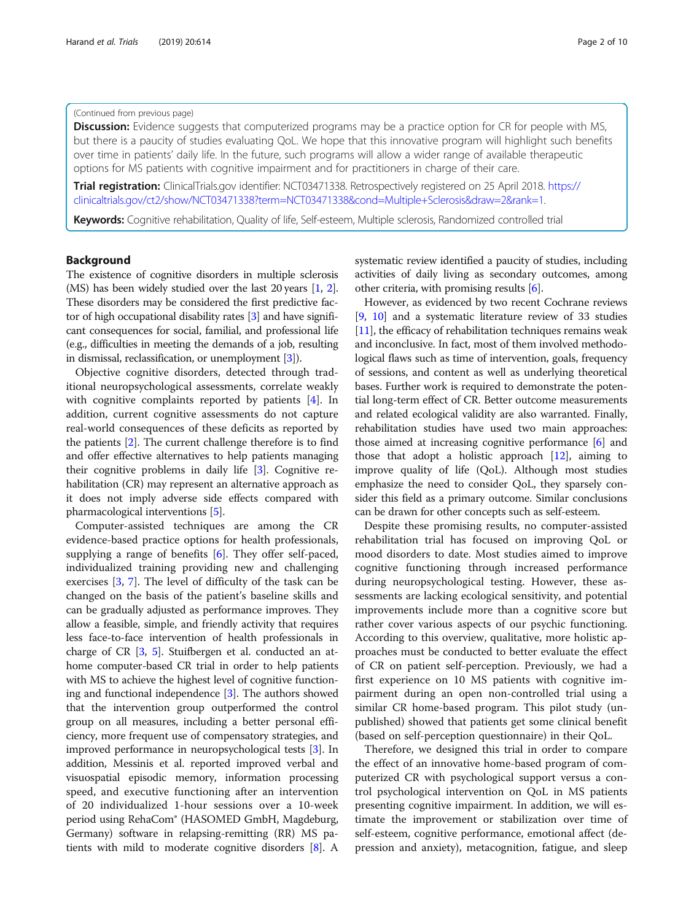# (Continued from previous page)

**Discussion:** Evidence suggests that computerized programs may be a practice option for CR for people with MS, but there is a paucity of studies evaluating QoL. We hope that this innovative program will highlight such benefits over time in patients' daily life. In the future, such programs will allow a wider range of available therapeutic options for MS patients with cognitive impairment and for practitioners in charge of their care.

**Trial registration:** ClinicalTrials.gov identifier: NCT03471338. Retrospectively registered on 25 April 2018. [https://](https://clinicaltrials.gov/ct2/show/NCT03471338?term=NCT03471338&cond=Multiple+Sclerosis&draw=2&rank=1) [clinicaltrials.gov/ct2/show/NCT03471338?term=NCT03471338&cond=Multiple+Sclerosis&draw=2&rank=1.](https://clinicaltrials.gov/ct2/show/NCT03471338?term=NCT03471338&cond=Multiple+Sclerosis&draw=2&rank=1)

Keywords: Cognitive rehabilitation, Quality of life, Self-esteem, Multiple sclerosis, Randomized controlled trial

# Background

The existence of cognitive disorders in multiple sclerosis (MS) has been widely studied over the last 20 years [\[1](#page-8-0), [2](#page-8-0)]. These disorders may be considered the first predictive factor of high occupational disability rates [\[3](#page-8-0)] and have significant consequences for social, familial, and professional life (e.g., difficulties in meeting the demands of a job, resulting in dismissal, reclassification, or unemployment [\[3\]](#page-8-0)).

Objective cognitive disorders, detected through traditional neuropsychological assessments, correlate weakly with cognitive complaints reported by patients [[4](#page-8-0)]. In addition, current cognitive assessments do not capture real-world consequences of these deficits as reported by the patients [\[2\]](#page-8-0). The current challenge therefore is to find and offer effective alternatives to help patients managing their cognitive problems in daily life [[3\]](#page-8-0). Cognitive rehabilitation (CR) may represent an alternative approach as it does not imply adverse side effects compared with pharmacological interventions [\[5\]](#page-8-0).

Computer-assisted techniques are among the CR evidence-based practice options for health professionals, supplying a range of benefits [[6\]](#page-8-0). They offer self-paced, individualized training providing new and challenging exercises [\[3](#page-8-0), [7\]](#page-8-0). The level of difficulty of the task can be changed on the basis of the patient's baseline skills and can be gradually adjusted as performance improves. They allow a feasible, simple, and friendly activity that requires less face-to-face intervention of health professionals in charge of CR [\[3](#page-8-0), [5](#page-8-0)]. Stuifbergen et al. conducted an athome computer-based CR trial in order to help patients with MS to achieve the highest level of cognitive functioning and functional independence [\[3\]](#page-8-0). The authors showed that the intervention group outperformed the control group on all measures, including a better personal efficiency, more frequent use of compensatory strategies, and improved performance in neuropsychological tests [\[3](#page-8-0)]. In addition, Messinis et al. reported improved verbal and visuospatial episodic memory, information processing speed, and executive functioning after an intervention of 20 individualized 1-hour sessions over a 10-week period using RehaCom® (HASOMED GmbH, Magdeburg, Germany) software in relapsing-remitting (RR) MS patients with mild to moderate cognitive disorders [[8\]](#page-8-0). A

systematic review identified a paucity of studies, including activities of daily living as secondary outcomes, among other criteria, with promising results [\[6](#page-8-0)].

However, as evidenced by two recent Cochrane reviews [[9,](#page-8-0) [10](#page-8-0)] and a systematic literature review of 33 studies [[11](#page-8-0)], the efficacy of rehabilitation techniques remains weak and inconclusive. In fact, most of them involved methodological flaws such as time of intervention, goals, frequency of sessions, and content as well as underlying theoretical bases. Further work is required to demonstrate the potential long-term effect of CR. Better outcome measurements and related ecological validity are also warranted. Finally, rehabilitation studies have used two main approaches: those aimed at increasing cognitive performance [[6\]](#page-8-0) and those that adopt a holistic approach [[12](#page-8-0)], aiming to improve quality of life (QoL). Although most studies emphasize the need to consider QoL, they sparsely consider this field as a primary outcome. Similar conclusions can be drawn for other concepts such as self-esteem.

Despite these promising results, no computer-assisted rehabilitation trial has focused on improving QoL or mood disorders to date. Most studies aimed to improve cognitive functioning through increased performance during neuropsychological testing. However, these assessments are lacking ecological sensitivity, and potential improvements include more than a cognitive score but rather cover various aspects of our psychic functioning. According to this overview, qualitative, more holistic approaches must be conducted to better evaluate the effect of CR on patient self-perception. Previously, we had a first experience on 10 MS patients with cognitive impairment during an open non-controlled trial using a similar CR home-based program. This pilot study (unpublished) showed that patients get some clinical benefit (based on self-perception questionnaire) in their QoL.

Therefore, we designed this trial in order to compare the effect of an innovative home-based program of computerized CR with psychological support versus a control psychological intervention on QoL in MS patients presenting cognitive impairment. In addition, we will estimate the improvement or stabilization over time of self-esteem, cognitive performance, emotional affect (depression and anxiety), metacognition, fatigue, and sleep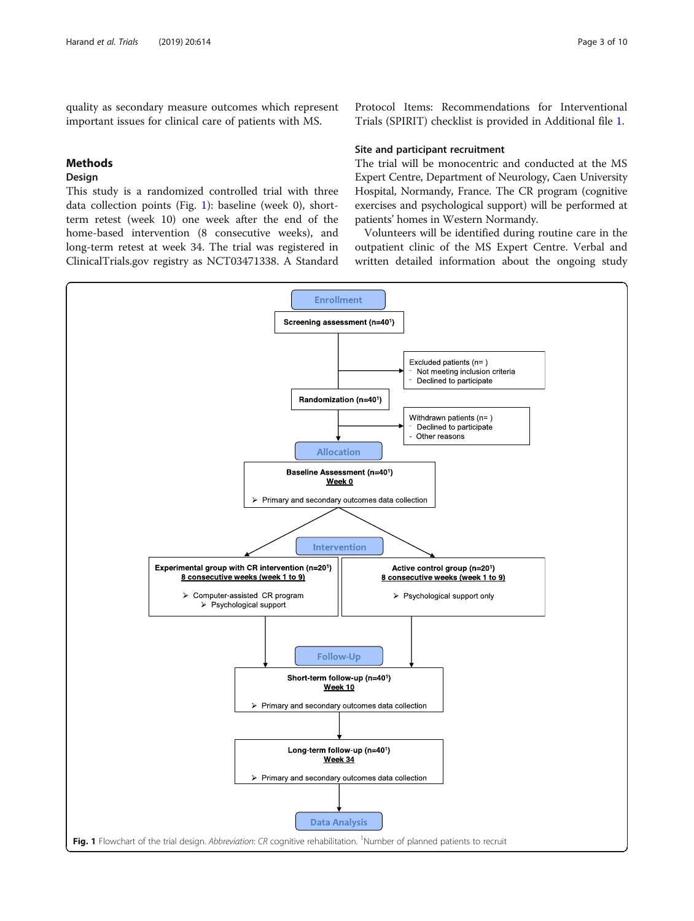quality as secondary measure outcomes which represent important issues for clinical care of patients with MS.

# Methods

# Design

This study is a randomized controlled trial with three data collection points (Fig. 1): baseline (week 0), shortterm retest (week 10) one week after the end of the home-based intervention (8 consecutive weeks), and long-term retest at week 34. The trial was registered in ClinicalTrials.gov registry as NCT03471338. A Standard

Protocol Items: Recommendations for Interventional Trials (SPIRIT) checklist is provided in Additional file [1.](#page-8-0)

# Site and participant recruitment

The trial will be monocentric and conducted at the MS Expert Centre, Department of Neurology, Caen University Hospital, Normandy, France. The CR program (cognitive exercises and psychological support) will be performed at patients' homes in Western Normandy.

Volunteers will be identified during routine care in the outpatient clinic of the MS Expert Centre. Verbal and written detailed information about the ongoing study

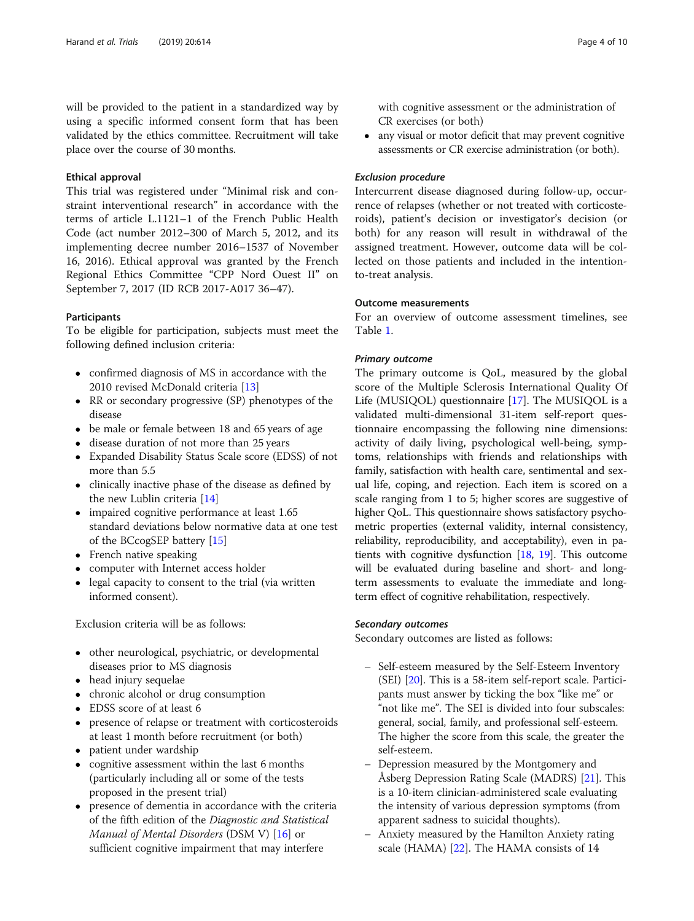will be provided to the patient in a standardized way by using a specific informed consent form that has been validated by the ethics committee. Recruitment will take place over the course of 30 months.

# Ethical approval

This trial was registered under "Minimal risk and constraint interventional research" in accordance with the terms of article L.1121–1 of the French Public Health Code (act number 2012–300 of March 5, 2012, and its implementing decree number 2016–1537 of November 16, 2016). Ethical approval was granted by the French Regional Ethics Committee "CPP Nord Ouest II" on September 7, 2017 (ID RCB 2017-A017 36–47).

# **Participants**

To be eligible for participation, subjects must meet the following defined inclusion criteria:

- confirmed diagnosis of MS in accordance with the 2010 revised McDonald criteria [\[13\]](#page-8-0)
- RR or secondary progressive (SP) phenotypes of the disease
- be male or female between 18 and 65 years of age
- disease duration of not more than 25 years
- Expanded Disability Status Scale score (EDSS) of not more than 5.5
- clinically inactive phase of the disease as defined by the new Lublin criteria [\[14\]](#page-8-0)
- impaired cognitive performance at least 1.65 standard deviations below normative data at one test of the BCcogSEP battery [\[15\]](#page-8-0)
- French native speaking
- computer with Internet access holder
- legal capacity to consent to the trial (via written informed consent).

Exclusion criteria will be as follows:

- other neurological, psychiatric, or developmental diseases prior to MS diagnosis
- head injury sequelae
- chronic alcohol or drug consumption
- EDSS score of at least 6
- presence of relapse or treatment with corticosteroids at least 1 month before recruitment (or both)
- patient under wardship
- cognitive assessment within the last 6 months (particularly including all or some of the tests proposed in the present trial)
- presence of dementia in accordance with the criteria of the fifth edition of the Diagnostic and Statistical Manual of Mental Disorders (DSM V) [\[16](#page-8-0)] or sufficient cognitive impairment that may interfere

with cognitive assessment or the administration of CR exercises (or both)

 any visual or motor deficit that may prevent cognitive assessments or CR exercise administration (or both).

# Exclusion procedure

Intercurrent disease diagnosed during follow-up, occurrence of relapses (whether or not treated with corticosteroids), patient's decision or investigator's decision (or both) for any reason will result in withdrawal of the assigned treatment. However, outcome data will be collected on those patients and included in the intentionto-treat analysis.

#### Outcome measurements

For an overview of outcome assessment timelines, see Table [1.](#page-4-0)

# Primary outcome

The primary outcome is QoL, measured by the global score of the Multiple Sclerosis International Quality Of Life (MUSIQOL) questionnaire [\[17](#page-9-0)]. The MUSIQOL is a validated multi-dimensional 31-item self-report questionnaire encompassing the following nine dimensions: activity of daily living, psychological well-being, symptoms, relationships with friends and relationships with family, satisfaction with health care, sentimental and sexual life, coping, and rejection. Each item is scored on a scale ranging from 1 to 5; higher scores are suggestive of higher QoL. This questionnaire shows satisfactory psychometric properties (external validity, internal consistency, reliability, reproducibility, and acceptability), even in patients with cognitive dysfunction  $[18, 19]$  $[18, 19]$  $[18, 19]$  $[18, 19]$  $[18, 19]$ . This outcome will be evaluated during baseline and short- and longterm assessments to evaluate the immediate and longterm effect of cognitive rehabilitation, respectively.

# Secondary outcomes

Secondary outcomes are listed as follows:

- Self-esteem measured by the Self-Esteem Inventory (SEI) [[20](#page-9-0)]. This is a 58-item self-report scale. Participants must answer by ticking the box "like me" or "not like me". The SEI is divided into four subscales: general, social, family, and professional self-esteem. The higher the score from this scale, the greater the self-esteem.
- Depression measured by the Montgomery and Åsberg Depression Rating Scale (MADRS) [[21](#page-9-0)]. This is a 10-item clinician-administered scale evaluating the intensity of various depression symptoms (from apparent sadness to suicidal thoughts).
- Anxiety measured by the Hamilton Anxiety rating scale (HAMA) [\[22](#page-9-0)]. The HAMA consists of 14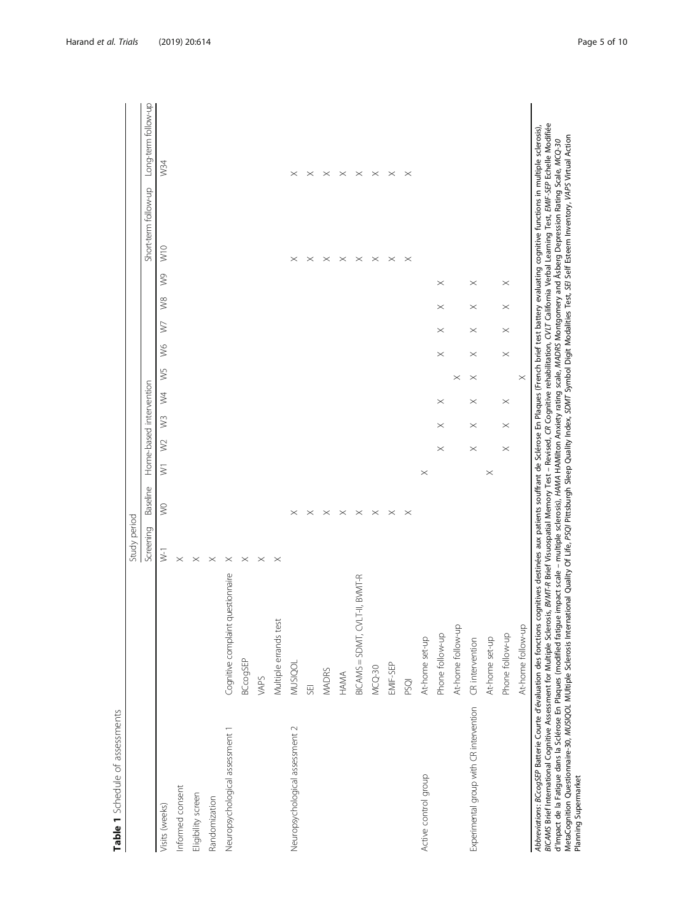| necocom on:          |
|----------------------|
| $\frac{1}{\epsilon}$ |
| $\tilde{\zeta}$<br>ï |
|                      |
|                      |

<span id="page-4-0"></span>

|                                                                                                                                                                                                                                                                                                                                                                                                                                                               |                                   | Study period |             |          |             |                         |                        |               |            |            |               |                      |                     |
|---------------------------------------------------------------------------------------------------------------------------------------------------------------------------------------------------------------------------------------------------------------------------------------------------------------------------------------------------------------------------------------------------------------------------------------------------------------|-----------------------------------|--------------|-------------|----------|-------------|-------------------------|------------------------|---------------|------------|------------|---------------|----------------------|---------------------|
|                                                                                                                                                                                                                                                                                                                                                                                                                                                               |                                   | Screening    | Baseline    |          |             | Home-based intervention |                        |               |            |            |               | Short-term follow-up | Long-term follow-up |
| Visits (weeks)                                                                                                                                                                                                                                                                                                                                                                                                                                                |                                   | $\geq$       | $\geqslant$ | $\geq$   | $\geqslant$ | $\sqrt{3}$              | $W_5$<br>$\frac{1}{2}$ | $\frac{8}{3}$ | $\sqrt{ }$ | $\sqrt{8}$ | $\frac{1}{2}$ | W10                  | W34                 |
| Informed consent                                                                                                                                                                                                                                                                                                                                                                                                                                              |                                   | $\times$     |             |          |             |                         |                        |               |            |            |               |                      |                     |
| Eligibility screen                                                                                                                                                                                                                                                                                                                                                                                                                                            |                                   | $\times$     |             |          |             |                         |                        |               |            |            |               |                      |                     |
| Randomization                                                                                                                                                                                                                                                                                                                                                                                                                                                 |                                   | $\times$     |             |          |             |                         |                        |               |            |            |               |                      |                     |
| Neuropsychological assessment 1                                                                                                                                                                                                                                                                                                                                                                                                                               | Cognitive complaint questionnaire | $\times$     |             |          |             |                         |                        |               |            |            |               |                      |                     |
|                                                                                                                                                                                                                                                                                                                                                                                                                                                               | <b>BCcogSEP</b>                   | $\times$     |             |          |             |                         |                        |               |            |            |               |                      |                     |
|                                                                                                                                                                                                                                                                                                                                                                                                                                                               | VAPS                              | $\times$     |             |          |             |                         |                        |               |            |            |               |                      |                     |
|                                                                                                                                                                                                                                                                                                                                                                                                                                                               | Multiple errands test             | $\times$     |             |          |             |                         |                        |               |            |            |               |                      |                     |
| Neuropsychological assessment 2                                                                                                                                                                                                                                                                                                                                                                                                                               | MUSIQOL                           |              | $\times$    |          |             |                         |                        |               |            |            |               | $\times$             | $\times$            |
|                                                                                                                                                                                                                                                                                                                                                                                                                                                               | SEI                               |              | $\times$    |          |             |                         |                        |               |            |            |               | $\times$             | $\times$            |
|                                                                                                                                                                                                                                                                                                                                                                                                                                                               | <b>MADRS</b>                      |              | $\times$    |          |             |                         |                        |               |            |            |               | $\times$             | $\times$            |
|                                                                                                                                                                                                                                                                                                                                                                                                                                                               | HAMA                              |              | $\times$    |          |             |                         |                        |               |            |            |               | $\times$             | $\times$            |
|                                                                                                                                                                                                                                                                                                                                                                                                                                                               | $BICANS = SDMT, CULT-II, BVMIT-R$ |              | $\times$    |          |             |                         |                        |               |            |            |               | $\times$             | $\times$            |
|                                                                                                                                                                                                                                                                                                                                                                                                                                                               | $MCQ-30$                          |              | $\times$    |          |             |                         |                        |               |            |            |               | $\times$             | $\times$            |
|                                                                                                                                                                                                                                                                                                                                                                                                                                                               | EMIF-SEP                          |              | $\times$    |          |             |                         |                        |               |            |            |               | $\times$             | $\times$            |
|                                                                                                                                                                                                                                                                                                                                                                                                                                                               | PSQI                              |              | $\times$    |          |             |                         |                        |               |            |            |               | $\times$             | $\times$            |
| Active control group                                                                                                                                                                                                                                                                                                                                                                                                                                          | At-home set-up                    |              |             | $\times$ |             |                         |                        |               |            |            |               |                      |                     |
|                                                                                                                                                                                                                                                                                                                                                                                                                                                               | Phone follow-up                   |              |             |          | $\times$    | $\times$<br>$\times$    |                        | $\times$      | $\times$   | $\times$   | $\times$      |                      |                     |
|                                                                                                                                                                                                                                                                                                                                                                                                                                                               | At-home follow-up                 |              |             |          |             |                         | $\times$               |               |            |            |               |                      |                     |
| Experimental group with CR intervention                                                                                                                                                                                                                                                                                                                                                                                                                       | CR intervention                   |              |             |          | $\times$    | $\times$<br>$\times$    | $\times$               | $\times$      | $\times$   | $\times$   | $\times$      |                      |                     |
|                                                                                                                                                                                                                                                                                                                                                                                                                                                               | At-home set-up                    |              |             | $\times$ |             |                         |                        |               |            |            |               |                      |                     |
|                                                                                                                                                                                                                                                                                                                                                                                                                                                               | Phone follow-up                   |              |             |          | $\times$    | $\times$<br>$\times$    |                        | $\times$      | $\times$   | $\times$   | $\times$      |                      |                     |
|                                                                                                                                                                                                                                                                                                                                                                                                                                                               | At-home follow-up                 |              |             |          |             |                         | $\times$               |               |            |            |               |                      |                     |
| <i>BICAMS</i> Brief International Cognitive Assessment for Multiple Sclerosis, <i>BVMT-R</i> Brief Visuospatial Memory Test – Revised, CR Cognitive rehabilitation, CVL7 California Verbal Learning Test, EMIF-SEP Echelle Modifiée<br>Abbreviations: BCcogSEP Batterie Courte d'évaluation des fonctions cognitives destinées aux patients souffrant de Sclérose En Plaques (French brief test battery evaluating cognitive functions in multiple sclerosis) |                                   |              |             |          |             |                         |                        |               |            |            |               |                      |                     |

*BICAMS* Brief International Cognitive Assessment for Multiple Sclerosis, *BMIT-R* Brief Visuospatial Memoy Test – Revised, CR Cognitive rehabilitation, CVIT California Verbal Learning Test, *EMIF-SEP* Echelle Modifi<br>d'Imp MetaCognition Questionnaire-30, MUSIQOL MUltiple Sclerosis International Quality Of Life, PSQI Pittsburgh Sleep Quality Index, SDMT Symbol Digit Modalities Test, SEI Esteem Inventory, VAPS Virtual Action d'Impact de la Fatigue dans la Sclérose En Plaques (modified fatigue impact scale – multiple sclerosis), HAMA HAMilton Anxiety rating scale, MADRS Montgomery and Åsberg Depression Rating Scale, MCQ-30 Planning Supermarket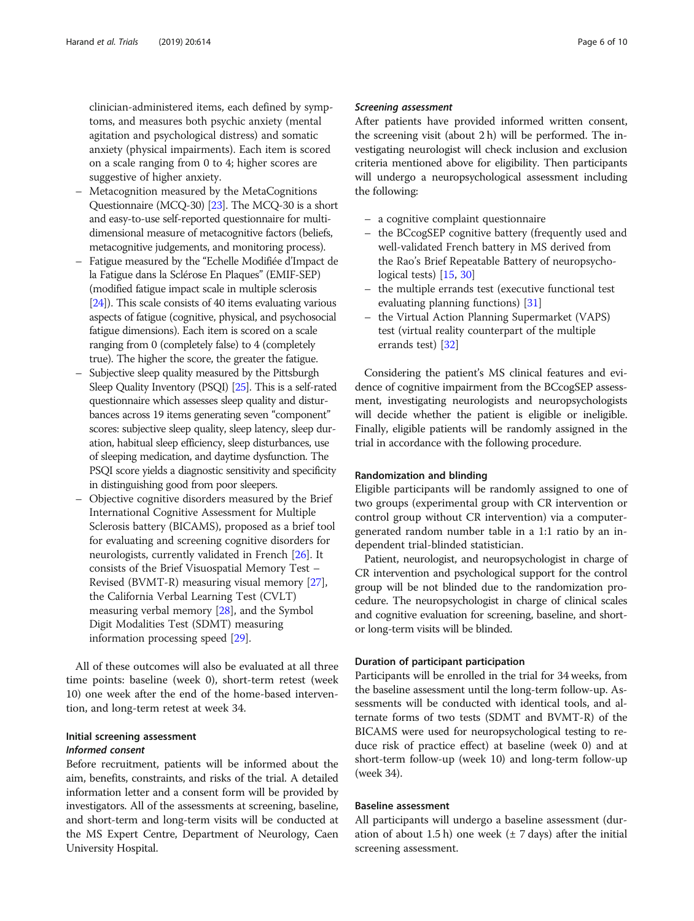clinician-administered items, each defined by symptoms, and measures both psychic anxiety (mental agitation and psychological distress) and somatic anxiety (physical impairments). Each item is scored on a scale ranging from 0 to 4; higher scores are suggestive of higher anxiety.

- Metacognition measured by the MetaCognitions Questionnaire (MCQ-30) [\[23\]](#page-9-0). The MCQ-30 is a short and easy-to-use self-reported questionnaire for multidimensional measure of metacognitive factors (beliefs, metacognitive judgements, and monitoring process).
- Fatigue measured by the "Echelle Modifiée d'Impact de la Fatigue dans la Sclérose En Plaques" (EMIF-SEP) (modified fatigue impact scale in multiple sclerosis [[24\]](#page-9-0)). This scale consists of 40 items evaluating various aspects of fatigue (cognitive, physical, and psychosocial fatigue dimensions). Each item is scored on a scale ranging from 0 (completely false) to 4 (completely true). The higher the score, the greater the fatigue.
- Subjective sleep quality measured by the Pittsburgh Sleep Quality Inventory (PSQI) [\[25](#page-9-0)]. This is a self-rated questionnaire which assesses sleep quality and disturbances across 19 items generating seven "component" scores: subjective sleep quality, sleep latency, sleep duration, habitual sleep efficiency, sleep disturbances, use of sleeping medication, and daytime dysfunction. The PSQI score yields a diagnostic sensitivity and specificity in distinguishing good from poor sleepers.
- Objective cognitive disorders measured by the Brief International Cognitive Assessment for Multiple Sclerosis battery (BICAMS), proposed as a brief tool for evaluating and screening cognitive disorders for neurologists, currently validated in French [\[26\]](#page-9-0). It consists of the Brief Visuospatial Memory Test – Revised (BVMT-R) measuring visual memory [\[27\]](#page-9-0), the California Verbal Learning Test (CVLT) measuring verbal memory [[28\]](#page-9-0), and the Symbol Digit Modalities Test (SDMT) measuring information processing speed [[29\]](#page-9-0).

All of these outcomes will also be evaluated at all three time points: baseline (week 0), short-term retest (week 10) one week after the end of the home-based intervention, and long-term retest at week 34.

# Initial screening assessment Informed consent

Before recruitment, patients will be informed about the aim, benefits, constraints, and risks of the trial. A detailed information letter and a consent form will be provided by investigators. All of the assessments at screening, baseline, and short-term and long-term visits will be conducted at the MS Expert Centre, Department of Neurology, Caen University Hospital.

# Screening assessment

After patients have provided informed written consent, the screening visit (about 2 h) will be performed. The investigating neurologist will check inclusion and exclusion criteria mentioned above for eligibility. Then participants will undergo a neuropsychological assessment including the following:

- a cognitive complaint questionnaire
- the BCcogSEP cognitive battery (frequently used and well-validated French battery in MS derived from the Rao's Brief Repeatable Battery of neuropsychological tests) [[15](#page-8-0), [30\]](#page-9-0)
- the multiple errands test (executive functional test evaluating planning functions) [[31](#page-9-0)]
- the Virtual Action Planning Supermarket (VAPS) test (virtual reality counterpart of the multiple errands test) [\[32\]](#page-9-0)

Considering the patient's MS clinical features and evidence of cognitive impairment from the BCcogSEP assessment, investigating neurologists and neuropsychologists will decide whether the patient is eligible or ineligible. Finally, eligible patients will be randomly assigned in the trial in accordance with the following procedure.

# Randomization and blinding

Eligible participants will be randomly assigned to one of two groups (experimental group with CR intervention or control group without CR intervention) via a computergenerated random number table in a 1:1 ratio by an independent trial-blinded statistician.

Patient, neurologist, and neuropsychologist in charge of CR intervention and psychological support for the control group will be not blinded due to the randomization procedure. The neuropsychologist in charge of clinical scales and cognitive evaluation for screening, baseline, and shortor long-term visits will be blinded.

# Duration of participant participation

Participants will be enrolled in the trial for 34 weeks, from the baseline assessment until the long-term follow-up. Assessments will be conducted with identical tools, and alternate forms of two tests (SDMT and BVMT-R) of the BICAMS were used for neuropsychological testing to reduce risk of practice effect) at baseline (week 0) and at short-term follow-up (week 10) and long-term follow-up (week 34).

# Baseline assessment

All participants will undergo a baseline assessment (duration of about 1.5 h) one week  $(\pm 7 \text{ days})$  after the initial screening assessment.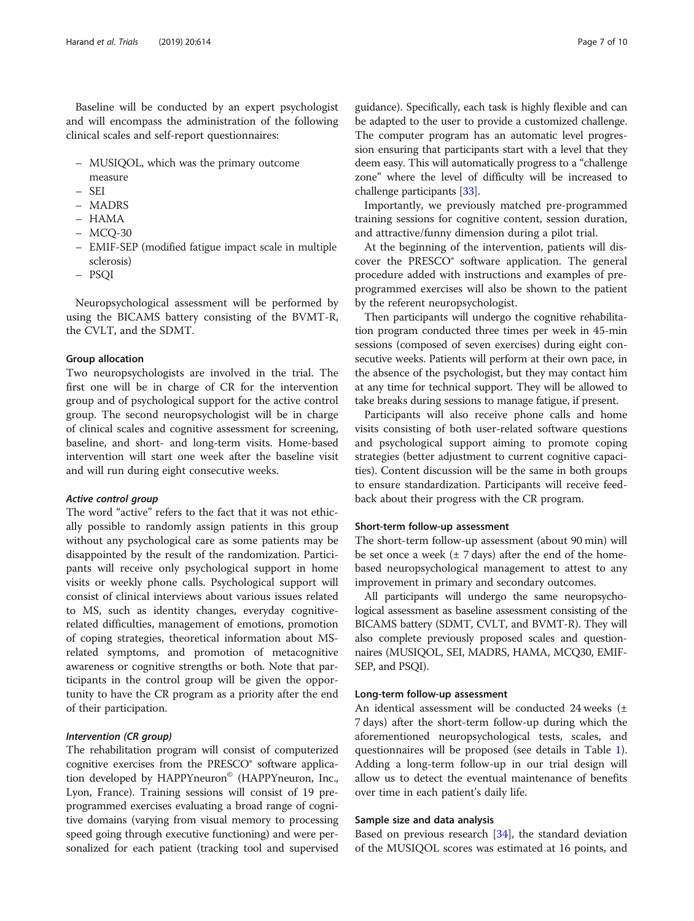Baseline will be conducted by an expert psychologist and will encompass the administration of the following clinical scales and self-report questionnaires:

- MUSIQOL, which was the primary outcome measure
- SEI
- MADRS
- HAMA
- MCQ-30
- EMIF-SEP (modified fatigue impact scale in multiple sclerosis)
- PSQI

Neuropsychological assessment will be performed by using the BICAMS battery consisting of the BVMT-R, the CVLT, and the SDMT.

#### Group allocation

Two neuropsychologists are involved in the trial. The first one will be in charge of CR for the intervention group and of psychological support for the active control group. The second neuropsychologist will be in charge of clinical scales and cognitive assessment for screening, baseline, and short- and long-term visits. Home-based intervention will start one week after the baseline visit and will run during eight consecutive weeks.

### Active control group

The word "active" refers to the fact that it was not ethically possible to randomly assign patients in this group without any psychological care as some patients may be disappointed by the result of the randomization. Participants will receive only psychological support in home visits or weekly phone calls. Psychological support will consist of clinical interviews about various issues related to MS, such as identity changes, everyday cognitiverelated difficulties, management of emotions, promotion of coping strategies, theoretical information about MSrelated symptoms, and promotion of metacognitive awareness or cognitive strengths or both. Note that participants in the control group will be given the opportunity to have the CR program as a priority after the end of their participation.

# Intervention (CR group)

The rehabilitation program will consist of computerized cognitive exercises from the PRESCO® software application developed by HAPPYneuron<sup>®</sup> (HAPPYneuron, Inc., Lyon, France). Training sessions will consist of 19 preprogrammed exercises evaluating a broad range of cognitive domains (varying from visual memory to processing speed going through executive functioning) and were personalized for each patient (tracking tool and supervised

guidance). Specifically, each task is highly flexible and can be adapted to the user to provide a customized challenge. The computer program has an automatic level progression ensuring that participants start with a level that they deem easy. This will automatically progress to a "challenge zone" where the level of difficulty will be increased to challenge participants [\[33\]](#page-9-0).

Importantly, we previously matched pre-programmed training sessions for cognitive content, session duration, and attractive/funny dimension during a pilot trial.

At the beginning of the intervention, patients will discover the PRESCO® software application. The general procedure added with instructions and examples of preprogrammed exercises will also be shown to the patient by the referent neuropsychologist.

Then participants will undergo the cognitive rehabilitation program conducted three times per week in 45-min sessions (composed of seven exercises) during eight consecutive weeks. Patients will perform at their own pace, in the absence of the psychologist, but they may contact him at any time for technical support. They will be allowed to take breaks during sessions to manage fatigue, if present.

Participants will also receive phone calls and home visits consisting of both user-related software questions and psychological support aiming to promote coping strategies (better adjustment to current cognitive capacities). Content discussion will be the same in both groups to ensure standardization. Participants will receive feedback about their progress with the CR program.

#### Short-term follow-up assessment

The short-term follow-up assessment (about 90 min) will be set once a week  $(\pm 7 \text{ days})$  after the end of the homebased neuropsychological management to attest to any improvement in primary and secondary outcomes.

All participants will undergo the same neuropsychological assessment as baseline assessment consisting of the BICAMS battery (SDMT, CVLT, and BVMT-R). They will also complete previously proposed scales and questionnaires (MUSIQOL, SEI, MADRS, HAMA, MCQ30, EMIF-SEP, and PSQI).

#### Long-term follow-up assessment

An identical assessment will be conducted 24 weeks  $(\pm)$ 7 days) after the short-term follow-up during which the aforementioned neuropsychological tests, scales, and questionnaires will be proposed (see details in Table [1](#page-4-0)). Adding a long-term follow-up in our trial design will allow us to detect the eventual maintenance of benefits over time in each patient's daily life.

#### Sample size and data analysis

Based on previous research [\[34](#page-9-0)], the standard deviation of the MUSIQOL scores was estimated at 16 points, and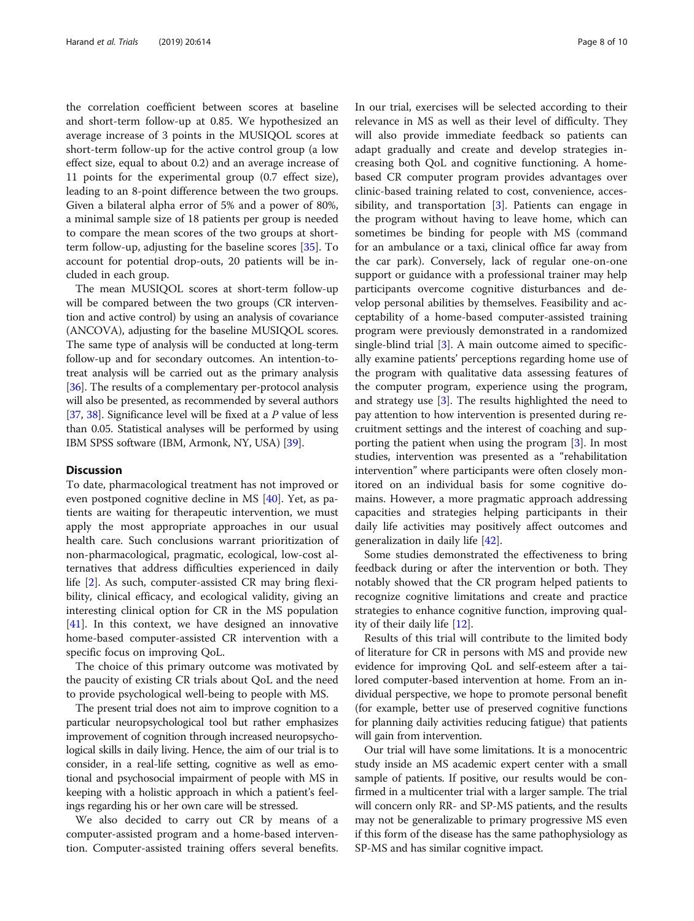the correlation coefficient between scores at baseline and short-term follow-up at 0.85. We hypothesized an average increase of 3 points in the MUSIQOL scores at short-term follow-up for the active control group (a low effect size, equal to about 0.2) and an average increase of 11 points for the experimental group (0.7 effect size), leading to an 8-point difference between the two groups. Given a bilateral alpha error of 5% and a power of 80%, a minimal sample size of 18 patients per group is needed to compare the mean scores of the two groups at shortterm follow-up, adjusting for the baseline scores [[35\]](#page-9-0). To account for potential drop-outs, 20 patients will be included in each group.

The mean MUSIQOL scores at short-term follow-up will be compared between the two groups (CR intervention and active control) by using an analysis of covariance (ANCOVA), adjusting for the baseline MUSIQOL scores. The same type of analysis will be conducted at long-term follow-up and for secondary outcomes. An intention-totreat analysis will be carried out as the primary analysis [[36](#page-9-0)]. The results of a complementary per-protocol analysis will also be presented, as recommended by several authors [[37](#page-9-0), [38](#page-9-0)]. Significance level will be fixed at a P value of less than 0.05. Statistical analyses will be performed by using IBM SPSS software (IBM, Armonk, NY, USA) [\[39\]](#page-9-0).

# **Discussion**

To date, pharmacological treatment has not improved or even postponed cognitive decline in MS [\[40](#page-9-0)]. Yet, as patients are waiting for therapeutic intervention, we must apply the most appropriate approaches in our usual health care. Such conclusions warrant prioritization of non-pharmacological, pragmatic, ecological, low-cost alternatives that address difficulties experienced in daily life [\[2\]](#page-8-0). As such, computer-assisted CR may bring flexibility, clinical efficacy, and ecological validity, giving an interesting clinical option for CR in the MS population [[41\]](#page-9-0). In this context, we have designed an innovative home-based computer-assisted CR intervention with a specific focus on improving QoL.

The choice of this primary outcome was motivated by the paucity of existing CR trials about QoL and the need to provide psychological well-being to people with MS.

The present trial does not aim to improve cognition to a particular neuropsychological tool but rather emphasizes improvement of cognition through increased neuropsychological skills in daily living. Hence, the aim of our trial is to consider, in a real-life setting, cognitive as well as emotional and psychosocial impairment of people with MS in keeping with a holistic approach in which a patient's feelings regarding his or her own care will be stressed.

We also decided to carry out CR by means of a computer-assisted program and a home-based intervention. Computer-assisted training offers several benefits. In our trial, exercises will be selected according to their relevance in MS as well as their level of difficulty. They will also provide immediate feedback so patients can adapt gradually and create and develop strategies increasing both QoL and cognitive functioning. A homebased CR computer program provides advantages over clinic-based training related to cost, convenience, accessibility, and transportation [\[3](#page-8-0)]. Patients can engage in the program without having to leave home, which can sometimes be binding for people with MS (command for an ambulance or a taxi, clinical office far away from the car park). Conversely, lack of regular one-on-one support or guidance with a professional trainer may help participants overcome cognitive disturbances and develop personal abilities by themselves. Feasibility and acceptability of a home-based computer-assisted training program were previously demonstrated in a randomized single-blind trial [[3\]](#page-8-0). A main outcome aimed to specifically examine patients' perceptions regarding home use of the program with qualitative data assessing features of the computer program, experience using the program, and strategy use [\[3](#page-8-0)]. The results highlighted the need to pay attention to how intervention is presented during recruitment settings and the interest of coaching and supporting the patient when using the program [[3\]](#page-8-0). In most studies, intervention was presented as a "rehabilitation intervention" where participants were often closely monitored on an individual basis for some cognitive domains. However, a more pragmatic approach addressing capacities and strategies helping participants in their daily life activities may positively affect outcomes and generalization in daily life [\[42\]](#page-9-0).

Some studies demonstrated the effectiveness to bring feedback during or after the intervention or both. They notably showed that the CR program helped patients to recognize cognitive limitations and create and practice strategies to enhance cognitive function, improving quality of their daily life [\[12](#page-8-0)].

Results of this trial will contribute to the limited body of literature for CR in persons with MS and provide new evidence for improving QoL and self-esteem after a tailored computer-based intervention at home. From an individual perspective, we hope to promote personal benefit (for example, better use of preserved cognitive functions for planning daily activities reducing fatigue) that patients will gain from intervention.

Our trial will have some limitations. It is a monocentric study inside an MS academic expert center with a small sample of patients. If positive, our results would be confirmed in a multicenter trial with a larger sample. The trial will concern only RR- and SP-MS patients, and the results may not be generalizable to primary progressive MS even if this form of the disease has the same pathophysiology as SP-MS and has similar cognitive impact.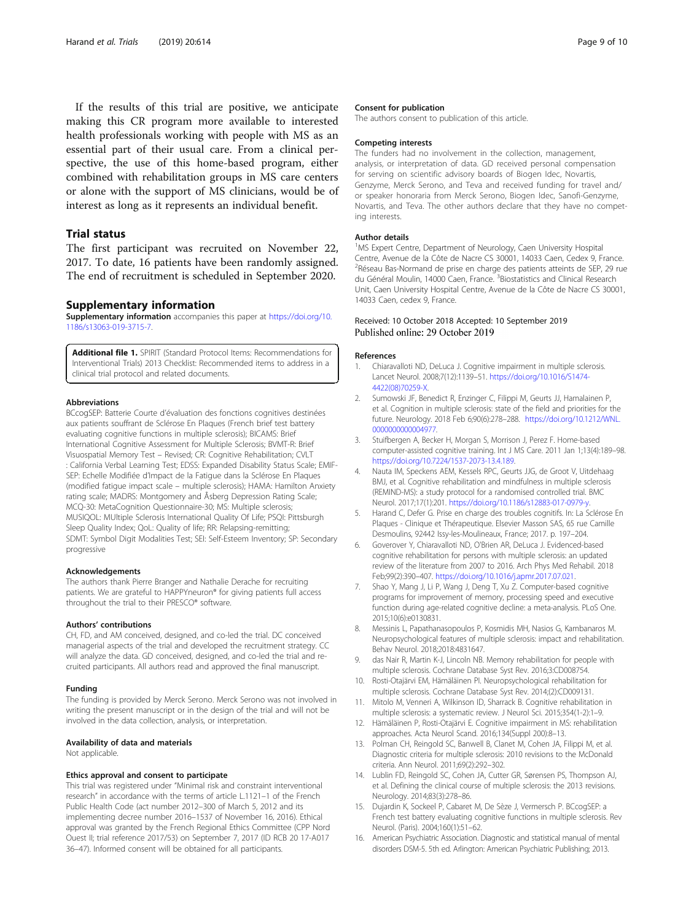<span id="page-8-0"></span>If the results of this trial are positive, we anticipate making this CR program more available to interested health professionals working with people with MS as an essential part of their usual care. From a clinical perspective, the use of this home-based program, either combined with rehabilitation groups in MS care centers or alone with the support of MS clinicians, would be of interest as long as it represents an individual benefit.

# Trial status

The first participant was recruited on November 22, 2017. To date, 16 patients have been randomly assigned. The end of recruitment is scheduled in September 2020.

# Supplementary information

Supplementary information accompanies this paper at [https://doi.org/10.](https://doi.org/10.1186/s13063-019-3715-7) [1186/s13063-019-3715-7.](https://doi.org/10.1186/s13063-019-3715-7)

Additional file 1. SPIRIT (Standard Protocol Items: Recommendations for Interventional Trials) 2013 Checklist: Recommended items to address in a clinical trial protocol and related documents.

#### Abbreviations

BCcogSEP: Batterie Courte d'évaluation des fonctions cognitives destinées aux patients souffrant de Sclérose En Plaques (French brief test battery evaluating cognitive functions in multiple sclerosis); BICAMS: Brief International Cognitive Assessment for Multiple Sclerosis; BVMT-R: Brief Visuospatial Memory Test – Revised; CR: Cognitive Rehabilitation; CVLT : California Verbal Learning Test; EDSS: Expanded Disability Status Scale; EMIF-SEP: Echelle Modifiée d'Impact de la Fatigue dans la Sclérose En Plaques (modified fatigue impact scale – multiple sclerosis); HAMA: Hamilton Anxiety rating scale; MADRS: Montgomery and Åsberg Depression Rating Scale; MCQ-30: MetaCognition Questionnaire-30; MS: Multiple sclerosis; MUSIQOL: MUltiple Sclerosis International Quality Of Life; PSQI: Pittsburgh Sleep Quality Index; QoL: Quality of life; RR: Relapsing-remitting; SDMT: Symbol Digit Modalities Test; SEI: Self-Esteem Inventory; SP: Secondary progressive

#### Acknowledgements

The authors thank Pierre Branger and Nathalie Derache for recruiting patients. We are grateful to HAPPYneuron® for giving patients full access throughout the trial to their PRESCO® software.

#### Authors' contributions

CH, FD, and AM conceived, designed, and co-led the trial. DC conceived managerial aspects of the trial and developed the recruitment strategy. CC will analyze the data. GD conceived, designed, and co-led the trial and recruited participants. All authors read and approved the final manuscript.

#### Funding

The funding is provided by Merck Serono. Merck Serono was not involved in writing the present manuscript or in the design of the trial and will not be involved in the data collection, analysis, or interpretation.

# Availability of data and materials

Not applicable.

#### Ethics approval and consent to participate

This trial was registered under "Minimal risk and constraint interventional research" in accordance with the terms of article L.1121–1 of the French Public Health Code (act number 2012–300 of March 5, 2012 and its implementing decree number 2016–1537 of November 16, 2016). Ethical approval was granted by the French Regional Ethics Committee (CPP Nord Ouest II; trial reference 2017/53) on September 7, 2017 (ID RCB 20 17-A017 36–47). Informed consent will be obtained for all participants.

#### Consent for publication

The authors consent to publication of this article.

#### Competing interests

The funders had no involvement in the collection, management, analysis, or interpretation of data. GD received personal compensation for serving on scientific advisory boards of Biogen Idec, Novartis, Genzyme, Merck Serono, and Teva and received funding for travel and/ or speaker honoraria from Merck Serono, Biogen Idec, Sanofi-Genzyme, Novartis, and Teva. The other authors declare that they have no competing interests.

#### Author details

<sup>1</sup>MS Expert Centre, Department of Neurology, Caen University Hospital Centre, Avenue de la Côte de Nacre CS 30001, 14033 Caen, Cedex 9, France. <sup>2</sup>Réseau Bas-Normand de prise en charge des patients atteints de SEP, 29 rue du Général Moulin, 14000 Caen, France.<sup>3</sup> Biostatistics and Clinical Research Unit, Caen University Hospital Centre, Avenue de la Côte de Nacre CS 30001, 14033 Caen, cedex 9, France.

### Received: 10 October 2018 Accepted: 10 September 2019 Published online: 29 October 2019

#### References

- 1. Chiaravalloti ND, DeLuca J. Cognitive impairment in multiple sclerosis. Lancet Neurol. 2008;7(12):1139–51. [https://doi.org/10.1016/S1474-](https://doi.org/10.1016/S1474-4422(08)70259-X) [4422\(08\)70259-X.](https://doi.org/10.1016/S1474-4422(08)70259-X)
- 2. Sumowski JF, Benedict R, Enzinger C, Filippi M, Geurts JJ, Hamalainen P, et al. Cognition in multiple sclerosis: state of the field and priorities for the future. Neurology. 2018 Feb 6;90(6):278–288. [https://doi.org/10.1212/WNL.](https://doi.org/10.1212/WNL.0000000000004977) [0000000000004977](https://doi.org/10.1212/WNL.0000000000004977).
- 3. Stuifbergen A, Becker H, Morgan S, Morrison J, Perez F. Home-based computer-assisted cognitive training. Int J MS Care. 2011 Jan 1;13(4):189–98. <https://doi.org/10.7224/1537-2073-13.4.189>.
- 4. Nauta IM, Speckens AEM, Kessels RPC, Geurts JJG, de Groot V, Uitdehaag BMJ, et al. Cognitive rehabilitation and mindfulness in multiple sclerosis (REMIND-MS): a study protocol for a randomised controlled trial. BMC Neurol. 2017;17(1):201. [https://doi.org/10.1186/s12883-017-0979-y.](https://doi.org/10.1186/s12883-017-0979-y)
- 5. Harand C, Defer G. Prise en charge des troubles cognitifs. In: La Sclérose En Plaques - Clinique et Thérapeutique. Elsevier Masson SAS, 65 rue Camille Desmoulins, 92442 Issy-les-Moulineaux, France; 2017. p. 197–204.
- 6. Goverover Y, Chiaravalloti ND, O'Brien AR, DeLuca J. Evidenced-based cognitive rehabilitation for persons with multiple sclerosis: an updated review of the literature from 2007 to 2016. Arch Phys Med Rehabil. 2018 Feb;99(2):390–407. <https://doi.org/10.1016/j.apmr.2017.07.021>.
- 7. Shao Y, Mang J, Li P, Wang J, Deng T, Xu Z. Computer-based cognitive programs for improvement of memory, processing speed and executive function during age-related cognitive decline: a meta-analysis. PLoS One. 2015;10(6):e0130831.
- 8. Messinis L, Papathanasopoulos P, Kosmidis MH, Nasios G, Kambanaros M. Neuropsychological features of multiple sclerosis: impact and rehabilitation. Behav Neurol. 2018;2018:4831647.
- 9. das Nair R, Martin K-J, Lincoln NB. Memory rehabilitation for people with multiple sclerosis. Cochrane Database Syst Rev. 2016;3:CD008754.
- 10. Rosti-Otajärvi EM, Hämäläinen PI. Neuropsychological rehabilitation for multiple sclerosis. Cochrane Database Syst Rev. 2014;(2):CD009131.
- 11. Mitolo M, Venneri A, Wilkinson ID, Sharrack B. Cognitive rehabilitation in multiple sclerosis: a systematic review. J Neurol Sci. 2015;354(1-2):1–9.
- 12. Hämäläinen P, Rosti-Otajärvi E. Cognitive impairment in MS: rehabilitation approaches. Acta Neurol Scand. 2016;134(Suppl 200):8–13.
- 13. Polman CH, Reingold SC, Banwell B, Clanet M, Cohen JA, Filippi M, et al. Diagnostic criteria for multiple sclerosis: 2010 revisions to the McDonald criteria. Ann Neurol. 2011;69(2):292–302.
- 14. Lublin FD, Reingold SC, Cohen JA, Cutter GR, Sørensen PS, Thompson AJ, et al. Defining the clinical course of multiple sclerosis: the 2013 revisions. Neurology. 2014;83(3):278–86.
- 15. Dujardin K, Sockeel P, Cabaret M, De Sèze J, Vermersch P. BCcogSEP: a French test battery evaluating cognitive functions in multiple sclerosis. Rev Neurol. (Paris). 2004;160(1):51–62.
- 16. American Psychiatric Association. Diagnostic and statistical manual of mental disorders DSM-5. 5th ed. Arlington: American Psychiatric Publishing; 2013.